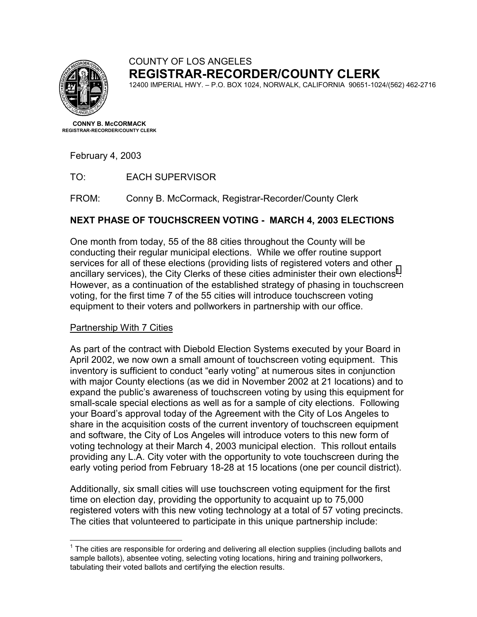

## COUNTY OF LOS ANGELES **REGISTRAR-RECORDER/COUNTY CLERK**

12400 IMPERIAL HWY. – P.O. BOX 1024, NORWALK, CALIFORNIA 90651-1024/(562) 462-2716

**CONNY B. McCORMACK REGISTRAR-RECORDER/COUNTY CLERK**

February 4, 2003

TO: EACH SUPERVISOR

FROM: Conny B. McCormack, Registrar-Recorder/County Clerk

## **NEXT PHASE OF TOUCHSCREEN VOTING - MARCH 4, 2003 ELECTIONS**

One month from today, 55 of the 88 cities throughout the County will be conducting their regular municipal elections. While we offer routine support services for all of these elections (providing lists of registered voters and other ancillary services), the City Clerks of these cities administer their own elections<sup>1</sup>. However, as a continuation of the established strategy of phasing in touchscreen voting, for the first time 7 of the 55 cities will introduce touchscreen voting equipment to their voters and pollworkers in partnership with our office.

## Partnership With 7 Cities

 $\overline{a}$ 

As part of the contract with Diebold Election Systems executed by your Board in April 2002, we now own a small amount of touchscreen voting equipment. This inventory is sufficient to conduct "early voting" at numerous sites in conjunction with major County elections (as we did in November 2002 at 21 locations) and to expand the public's awareness of touchscreen voting by using this equipment for small-scale special elections as well as for a sample of city elections. Following your Board's approval today of the Agreement with the City of Los Angeles to share in the acquisition costs of the current inventory of touchscreen equipment and software, the City of Los Angeles will introduce voters to this new form of voting technology at their March 4, 2003 municipal election. This rollout entails providing any L.A. City voter with the opportunity to vote touchscreen during the early voting period from February 18-28 at 15 locations (one per council district).

Additionally, six small cities will use touchscreen voting equipment for the first time on election day, providing the opportunity to acquaint up to 75,000 registered voters with this new voting technology at a total of 57 voting precincts. The cities that volunteered to participate in this unique partnership include:

 $1$  The cities are responsible for ordering and delivering all election supplies (including ballots and sample ballots), absentee voting, selecting voting locations, hiring and training pollworkers, tabulating their voted ballots and certifying the election results.